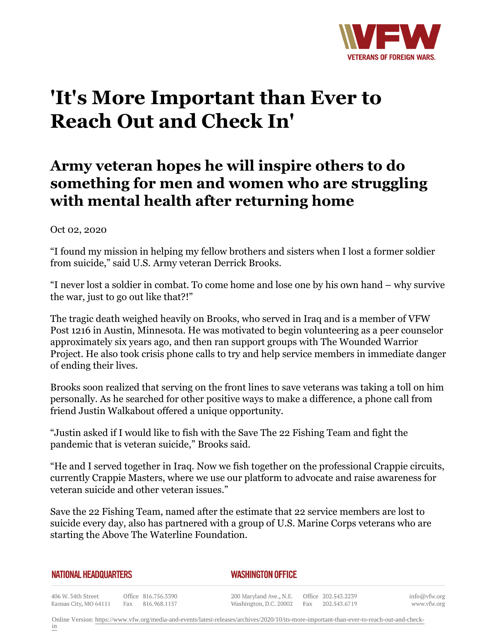

## **'It's More Important than Ever to Reach Out and Check In'**

## **Army veteran hopes he will inspire others to do something for men and women who are struggling with mental health after returning home**

## Oct 02, 2020

"I found my mission in helping my fellow brothers and sisters when I lost a former soldier from suicide," said U.S. Army veteran Derrick Brooks.

"I never lost a soldier in combat. To come home and lose one by his own hand – why survive the war, just to go out like that?!"

The tragic death weighed heavily on Brooks, who served in Iraq and is a member of VFW Post 1216 in Austin, Minnesota. He was motivated to begin volunteering as a peer counselor approximately six years ago, and then ran support groups with The Wounded Warrior Project. He also took crisis phone calls to try and help service members in immediate danger of ending their lives.

Brooks soon realized that serving on the front lines to save veterans was taking a toll on him personally. As he searched for other positive ways to make a difference, a phone call from friend Justin Walkabout offered a unique opportunity.

"Justin asked if I would like to fish with the Save The 22 Fishing Team and fight the pandemic that is veteran suicide," Brooks said.

"He and I served together in Iraq. Now we fish together on the professional Crappie circuits, currently Crappie Masters, where we use our platform to advocate and raise awareness for veteran suicide and other veteran issues."

Save the 22 Fishing Team, named after the estimate that 22 service members are lost to suicide every day, also has partnered with a group of U.S. Marine Corps veterans who are starting the Above The Waterline Foundation.

| NATIONAL HEADQUARTERS                       |  |                                         |  | <b>WASHINGTON OFFICE</b>                                                               |  |  |                             |
|---------------------------------------------|--|-----------------------------------------|--|----------------------------------------------------------------------------------------|--|--|-----------------------------|
| 406 W. 34th Street<br>Kansas City, MO 64111 |  | Office 816.756.3390<br>Fax 816.968.1157 |  | 200 Maryland Ave., N.E. Office 202.543.2239<br>Washington, D.C. 20002 Fax 202.543.6719 |  |  | info@vfw.org<br>www.vfw.org |

Online Version: [https://www.vfw.org/media-and-events/latest-releases/archives/2020/10/its-more-important-than-ever-to-reach-out-and-check-](https://www.vfw.org/media-and-events/latest-releases/archives/2020/10/its-more-important-than-ever-to-reach-out-and-check-in)

[in](https://www.vfw.org/media-and-events/latest-releases/archives/2020/10/its-more-important-than-ever-to-reach-out-and-check-in)